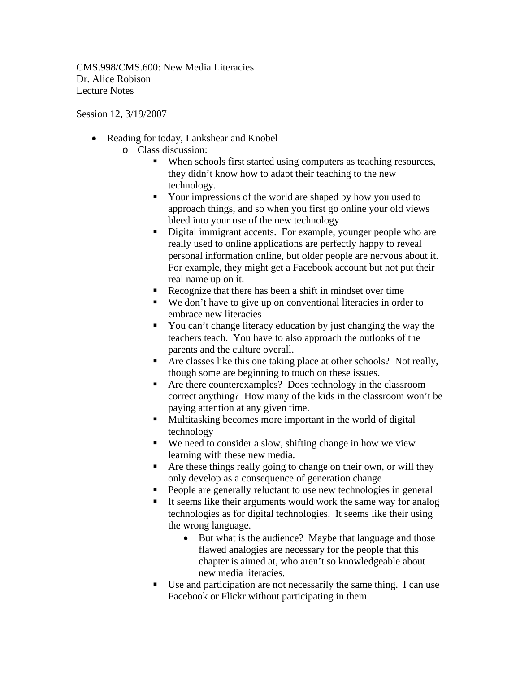CMS.998/CMS.600: New Media Literacies Dr. Alice Robison Lecture Notes

Session 12, 3/19/2007

- Reading for today, Lankshear and Knobel
	- o Class discussion:
		- When schools first started using computers as teaching resources, they didn't know how to adapt their teaching to the new technology.
		- Your impressions of the world are shaped by how you used to approach things, and so when you first go online your old views bleed into your use of the new technology
		- Digital immigrant accents. For example, younger people who are really used to online applications are perfectly happy to reveal personal information online, but older people are nervous about it. For example, they might get a Facebook account but not put their real name up on it.
		- Recognize that there has been a shift in mindset over time
		- We don't have to give up on conventional literacies in order to embrace new literacies
		- You can't change literacy education by just changing the way the teachers teach. You have to also approach the outlooks of the parents and the culture overall.
		- Are classes like this one taking place at other schools? Not really, though some are beginning to touch on these issues.
		- Are there counterexamples? Does technology in the classroom correct anything? How many of the kids in the classroom won't be paying attention at any given time.
		- Multitasking becomes more important in the world of digital technology
		- We need to consider a slow, shifting change in how we view learning with these new media.
		- Are these things really going to change on their own, or will they only develop as a consequence of generation change
		- **People are generally reluctant to use new technologies in general**
		- It seems like their arguments would work the same way for analog technologies as for digital technologies. It seems like their using the wrong language.
			- But what is the audience? Maybe that language and those flawed analogies are necessary for the people that this chapter is aimed at, who aren't so knowledgeable about new media literacies.
		- Use and participation are not necessarily the same thing. I can use Facebook or Flickr without participating in them.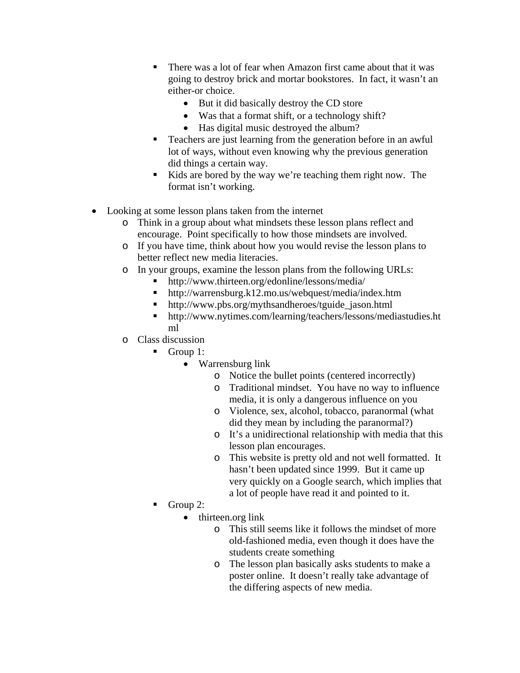- There was a lot of fear when Amazon first came about that it was going to destroy brick and mortar bookstores. In fact, it wasn't an either-or choice.
	- But it did basically destroy the CD store
	- Was that a format shift, or a technology shift?
	- Has digital music destroyed the album?
- Teachers are just learning from the generation before in an awful lot of ways, without even knowing why the previous generation did things a certain way.
- Kids are bored by the way we're teaching them right now. The format isn't working.
- Looking at some lesson plans taken from the internet
	- o Think in a group about what mindsets these lesson plans reflect and encourage. Point specifically to how those mindsets are involved.
	- o If you have time, think about how you would revise the lesson plans to better reflect new media literacies.
	- o In your groups, examine the lesson plans from the following URLs:
		- http://www.thirteen.org/edonline/lessons/media/
		- http://warrensburg.k12.mo.us/webquest/media/index.htm
		- http://www.pbs.org/mythsandheroes/tguide\_jason.html
		- http://www.nytimes.com/learning/teachers/lessons/mediastudies.ht ml
	- o Class discussion
		- Group 1:
			- Warrensburg link
				- o Notice the bullet points (centered incorrectly)
				- o Traditional mindset. You have no way to influence media, it is only a dangerous influence on you
				- o Violence, sex, alcohol, tobacco, paranormal (what did they mean by including the paranormal?)
				- o It's a unidirectional relationship with media that this lesson plan encourages.
				- o This website is pretty old and not well formatted. It hasn't been updated since 1999. But it came up very quickly on a Google search, which implies that a lot of people have read it and pointed to it.
		- Group 2:
			- thirteen.org link
				- o This still seems like it follows the mindset of more old-fashioned media, even though it does have the students create something
				- o The lesson plan basically asks students to make a poster online. It doesn't really take advantage of the differing aspects of new media.